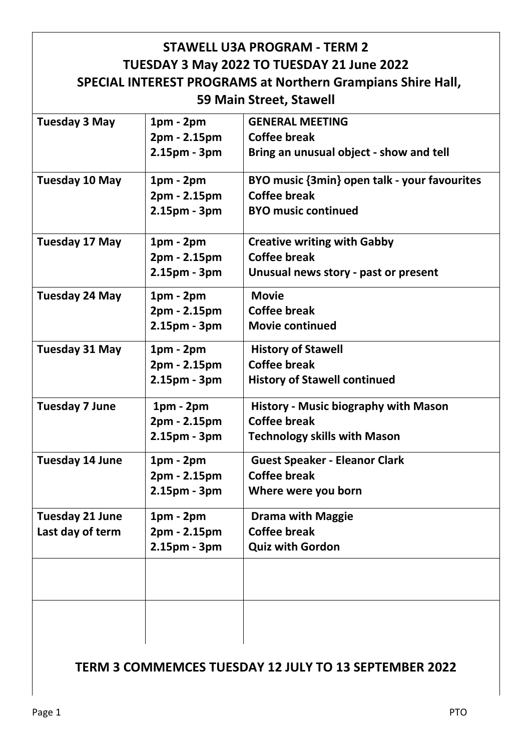| <b>STAWELL U3A PROGRAM - TERM 2</b><br>TUESDAY 3 May 2022 TO TUESDAY 21 June 2022<br><b>SPECIAL INTEREST PROGRAMS at Northern Grampians Shire Hall,</b> |                                               |                                                                                                           |  |  |
|---------------------------------------------------------------------------------------------------------------------------------------------------------|-----------------------------------------------|-----------------------------------------------------------------------------------------------------------|--|--|
|                                                                                                                                                         |                                               | 59 Main Street, Stawell                                                                                   |  |  |
| <b>Tuesday 3 May</b>                                                                                                                                    | $1pm - 2pm$<br>2pm - 2.15pm<br>2.15pm - 3pm   | <b>GENERAL MEETING</b><br><b>Coffee break</b><br>Bring an unusual object - show and tell                  |  |  |
| Tuesday 10 May                                                                                                                                          | $1pm - 2pm$<br>2pm - 2.15pm<br>2.15pm - 3pm   | BYO music {3min} open talk - your favourites<br><b>Coffee break</b><br><b>BYO music continued</b>         |  |  |
| Tuesday 17 May                                                                                                                                          | $1pm - 2pm$<br>2pm - 2.15pm<br>2.15pm - 3pm   | <b>Creative writing with Gabby</b><br><b>Coffee break</b><br>Unusual news story - past or present         |  |  |
| <b>Tuesday 24 May</b>                                                                                                                                   | $1pm - 2pm$<br>2pm - 2.15pm<br>2.15pm - 3pm   | <b>Movie</b><br><b>Coffee break</b><br><b>Movie continued</b>                                             |  |  |
| <b>Tuesday 31 May</b>                                                                                                                                   | $1pm - 2pm$<br>2pm - 2.15pm<br>2.15pm - 3pm   | <b>History of Stawell</b><br><b>Coffee break</b><br><b>History of Stawell continued</b>                   |  |  |
| <b>Tuesday 7 June</b>                                                                                                                                   | $1pm - 2pm$<br>2pm - 2.15pm<br>$2.15pm - 3pm$ | <b>History - Music biography with Mason</b><br><b>Coffee break</b><br><b>Technology skills with Mason</b> |  |  |
| <b>Tuesday 14 June</b>                                                                                                                                  | $1pm - 2pm$<br>2pm - 2.15pm<br>2.15pm - 3pm   | <b>Guest Speaker - Eleanor Clark</b><br><b>Coffee break</b><br>Where were you born                        |  |  |
| <b>Tuesday 21 June</b><br>Last day of term                                                                                                              | $1pm - 2pm$<br>2pm - 2.15pm<br>2.15pm - 3pm   | <b>Drama with Maggie</b><br><b>Coffee break</b><br><b>Quiz with Gordon</b>                                |  |  |
|                                                                                                                                                         |                                               |                                                                                                           |  |  |
|                                                                                                                                                         |                                               |                                                                                                           |  |  |

## **TERM 3 COMMEMCES TUESDAY 12 JULY TO 13 SEPTEMBER 2022**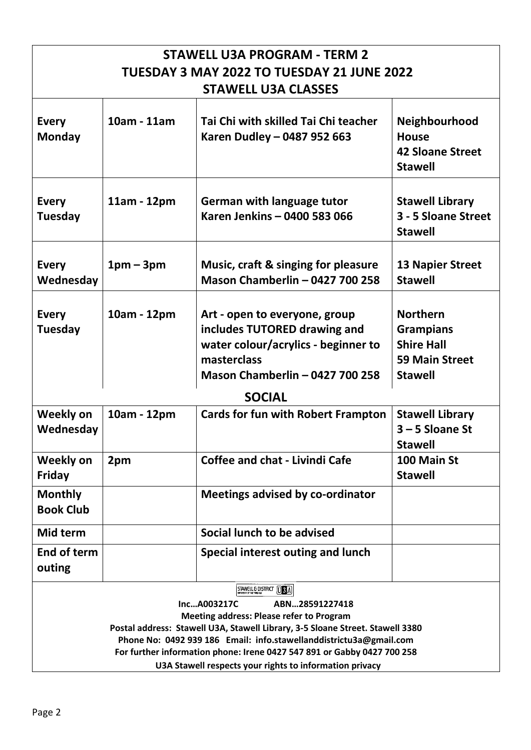| <b>STAWELL U3A PROGRAM - TERM 2</b>                                                                                                                                                                                                                                                                                                                                                                       |             |                                                                                                                                                               |                                                                                                     |  |  |
|-----------------------------------------------------------------------------------------------------------------------------------------------------------------------------------------------------------------------------------------------------------------------------------------------------------------------------------------------------------------------------------------------------------|-------------|---------------------------------------------------------------------------------------------------------------------------------------------------------------|-----------------------------------------------------------------------------------------------------|--|--|
| TUESDAY 3 MAY 2022 TO TUESDAY 21 JUNE 2022                                                                                                                                                                                                                                                                                                                                                                |             |                                                                                                                                                               |                                                                                                     |  |  |
| <b>STAWELL U3A CLASSES</b>                                                                                                                                                                                                                                                                                                                                                                                |             |                                                                                                                                                               |                                                                                                     |  |  |
| <b>Every</b><br><b>Monday</b>                                                                                                                                                                                                                                                                                                                                                                             | 10am - 11am | Tai Chi with skilled Tai Chi teacher<br>Karen Dudley - 0487 952 663                                                                                           | <b>Neighbourhood</b><br><b>House</b><br><b>42 Sloane Street</b><br><b>Stawell</b>                   |  |  |
| <b>Every</b><br><b>Tuesday</b>                                                                                                                                                                                                                                                                                                                                                                            | 11am - 12pm | <b>German with language tutor</b><br>Karen Jenkins - 0400 583 066                                                                                             | <b>Stawell Library</b><br>3 - 5 Sloane Street<br><b>Stawell</b>                                     |  |  |
| <b>Every</b><br>Wednesday                                                                                                                                                                                                                                                                                                                                                                                 | $1pm-3pm$   | Music, craft & singing for pleasure<br><b>Mason Chamberlin - 0427 700 258</b>                                                                                 | <b>13 Napier Street</b><br><b>Stawell</b>                                                           |  |  |
| <b>Every</b><br><b>Tuesday</b>                                                                                                                                                                                                                                                                                                                                                                            | 10am - 12pm | Art - open to everyone, group<br>includes TUTORED drawing and<br>water colour/acrylics - beginner to<br>masterclass<br><b>Mason Chamberlin - 0427 700 258</b> | <b>Northern</b><br><b>Grampians</b><br><b>Shire Hall</b><br><b>59 Main Street</b><br><b>Stawell</b> |  |  |
|                                                                                                                                                                                                                                                                                                                                                                                                           |             | <b>SOCIAL</b>                                                                                                                                                 |                                                                                                     |  |  |
| <b>Weekly on</b><br>Wednesday                                                                                                                                                                                                                                                                                                                                                                             | 10am - 12pm | <b>Cards for fun with Robert Frampton</b>                                                                                                                     | <b>Stawell Library</b><br>$3 - 5$ Sloane St<br><b>Stawell</b>                                       |  |  |
| <b>Weekly on</b><br><b>Friday</b>                                                                                                                                                                                                                                                                                                                                                                         | 2pm         | Coffee and chat - Livindi Cafe                                                                                                                                | 100 Main St<br><b>Stawell</b>                                                                       |  |  |
| <b>Monthly</b><br><b>Book Club</b>                                                                                                                                                                                                                                                                                                                                                                        |             | <b>Meetings advised by co-ordinator</b>                                                                                                                       |                                                                                                     |  |  |
| Mid term                                                                                                                                                                                                                                                                                                                                                                                                  |             | Social lunch to be advised                                                                                                                                    |                                                                                                     |  |  |
| End of term<br>outing                                                                                                                                                                                                                                                                                                                                                                                     |             | Special interest outing and lunch                                                                                                                             |                                                                                                     |  |  |
| STAWELL & DISTRICT TO BA<br>IncA003217C<br>ABN28591227418<br><b>Meeting address: Please refer to Program</b><br>Postal address: Stawell U3A, Stawell Library, 3-5 Sloane Street. Stawell 3380<br>Phone No: 0492 939 186 Email: info.stawellanddistrictu3a@gmail.com<br>For further information phone: Irene 0427 547 891 or Gabby 0427 700 258<br>U3A Stawell respects your rights to information privacy |             |                                                                                                                                                               |                                                                                                     |  |  |